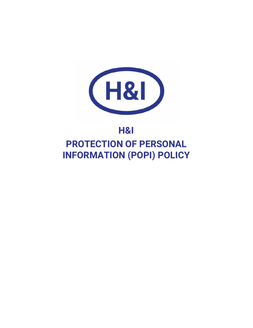

# **H&I PROTECTION OF PERSONAL INFORMATION (POPI) POLICY**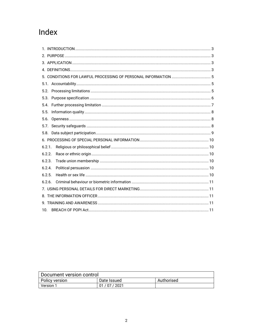# Index

| 5.2.   |  |  |  |  |
|--------|--|--|--|--|
| 5.3.   |  |  |  |  |
| 5.4.   |  |  |  |  |
| 5.5.   |  |  |  |  |
| 5.6.   |  |  |  |  |
| 5.7.   |  |  |  |  |
| 5.8.   |  |  |  |  |
|        |  |  |  |  |
| 6.2.1. |  |  |  |  |
| 6.2.2. |  |  |  |  |
| 6.2.3. |  |  |  |  |
| 6.2.4. |  |  |  |  |
| 6.2.5. |  |  |  |  |
| 6.2.6. |  |  |  |  |
|        |  |  |  |  |
|        |  |  |  |  |
|        |  |  |  |  |
| 10.    |  |  |  |  |

| Document version control |             |            |  |  |  |
|--------------------------|-------------|------------|--|--|--|
| Policy version           | Date Issued | Authorised |  |  |  |
| <b>Version 1</b>         | 01/07/2021  |            |  |  |  |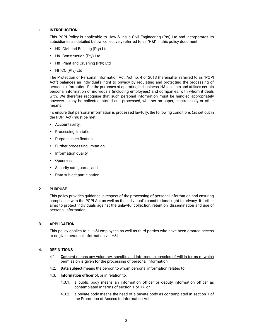# **1. INTRODUCTION**

This POPI Policy is applicable to Haw & Inglis Civil Engineering (Pty) Ltd and incorporates its subsidiaries as detailed below, collectively referred to as "H&I" in this policy document:

- H&I Civil and Building (Pty) Ltd
- H&I Construction (Pty) Ltd
- H&I Plant and Crushing (Pty) Ltd
- HITCO (Pty) Ltd

The Protection of Personal Information Act, Act no. 4 of 2013 (hereinafter referred to as "POPI Act") balances an individual's right to privacy by regulating and protecting the processing of personal information. For the purposes of operating its business, H&I collects and utilises certain personal information of individuals (including employees) and companies, with whom it deals with. We therefore recognise that such personal information must be handled appropriately however it may be collected, stored and processed, whether on paper, electronically or other means.

To ensure that personal information is processed lawfully, the following conditions (as set out in the POPI Act) must be met:

- Accountability;
- Processing limitation;
- Purpose specification;
- Further processing limitation;
- Information quality;
- Openness;
- Security safeguards; and
- Data subject participation.

#### **2. PURPOSE**

This policy provides guidance in respect of the processing of personal information and ensuring compliance with the POPI Act as well as the individual's constitutional right to privacy. It further aims to protect individuals against the unlawful collection, retention, dissemination and use of personal information.

# **3. APPLICATION**

This policy applies to all H&I employees as well as third parties who have been granted access to or given personal information via H&I.

#### **4. DEFINITIONS**

- 4.1. **Consent** means any voluntary, specific and informed expression of will in terms of which permission is given for the processing of personal information.
- 4.2. **Data subject** means the person to whom personal information relates to.
- 4.3. **Information officer** of, or in relation to,
	- 4.3.1. a public body means an information officer or deputy information officer as contemplated in terms of section 1 or 17; or
	- 4.3.2. a private body means the head of a private body as contemplated in section 1 of the Promotion of Access to Information Act.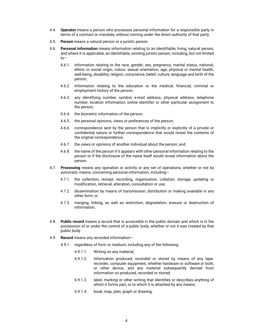- 4.4. **Operator** means a person who processes personal information for a responsible party in terms of a contract or mandate, without coming under the direct authority of that party.
- 4.5. **Person** means a natural person or a juristic person.
- 4.6. **Personal information** means information relating to an identifiable, living, natural person, and where it is applicable, an identifiable, existing juristic person, including, but not limited to—
	- 4.6.1. information relating to the race, gender, sex, pregnancy, marital status, national, ethnic or social origin, colour, sexual orientation, age, physical or mental health, well-being, disability, religion, conscience, belief, culture, language and birth of the person;
	- 4.6.2. information relating to the education or the medical, financial, criminal or employment history of the person;
	- 4.6.3. any identifying number, symbol, e-mail address, physical address, telephone number, location information, online identifier or other particular assignment to the person;
	- 4.6.4. the biometric information of the person;
	- 4.6.5. the personal opinions, views or preferences of the person;
	- 4.6.6. correspondence sent by the person that is implicitly or explicitly of a private or confidential nature or further correspondence that would reveal the contents of the original correspondence;
	- 4.6.7. the views or opinions of another individual about the person; and
	- 4.6.8. the name of the person if it appears with other personal information relating to the person or if the disclosure of the name itself would reveal information about the person.
- 4.7. **Processing** means any operation or activity or any set of operations, whether or not by automatic means, concerning personal information, including—
	- 4.7.1. the collection, receipt, recording, organisation, collation, storage, updating or modification, retrieval, alteration, consultation or use;
	- 4.7.2. dissemination by means of transmission, distribution or making available in any other form; or
	- 4.7.3. merging, linking, as well as restriction, degradation, erasure or destruction of information;
- 4.8. **Public record** means a record that is accessible in the public domain and which is in the possession of or under the control of a public body, whether or not it was created by that public body
- 4.9. **Record** means any recorded information—
	- 4.9.1. regardless of form or medium, including any of the following:
		- 4.9.1.1. Writing on any material;
		- 4.9.1.2. information produced, recorded or stored by means of any taperecorder, computer equipment, whether hardware or software or both, or other device, and any material subsequently derived from information so produced, recorded or stored;
		- 4.9.1.3. label, marking or other writing that identifies or describes anything of which it forms part, or to which it is attached by any means;
		- 4.9.1.4. book, map, plan, graph or drawing;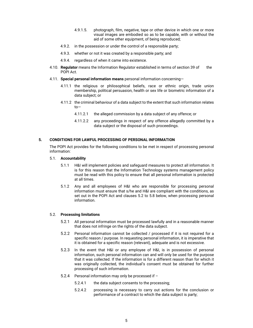- 4.9.1.5. photograph, film, negative, tape or other device in which one or more visual images are embodied so as to be capable, with or without the aid of some other equipment, of being reproduced;
- 4.9.2. in the possession or under the control of a responsible party;
- 4.9.3. whether or not it was created by a responsible party; and
- 4.9.4. regardless of when it came into existence.
- 4.10. **Regulator** means the Information Regulator established in terms of section 39 of the POPI Act.
- 4.11. **Special personal information means** personal information concerning—
	- 4.11.1 the religious or philosophical beliefs, race or ethnic origin, trade union membership, political persuasion, health or sex life or biometric information of a data subject; or
	- 4.11.2 the criminal behaviour of a data subject to the extent that such information relates to—
		- 4.11.2.1 the alleged commission by a data subject of any offence; or
		- 4.11.2.2 any proceedings in respect of any offence allegedly committed by a data subject or the disposal of such proceedings.

# **5. CONDITIONS FOR LAWFUL PROCESSING OF PERSONAL INFORMATION**

The POPI Act provides for the following conditions to be met in respect of processing personal information:

#### 5.1. **Accountability**

- 5.1.1 H&I will implement policies and safeguard measures to protect all information. It is for this reason that the Information Technology systems management policy must be read with this policy to ensure that all personal information is protected at all times.
- 5.1.2 Any and all employees of H&I who are responsible for processing personal information must ensure that s/he and H&I are compliant with the conditions, as set out in the POPI Act and clauses 5.2 to 5.8 below, when processing personal information.

#### 5.2. **Processing limitations**

- 5.2.1 All personal information must be processed lawfully and in a reasonable manner that does not infringe on the rights of the data subject.
- 5.2.2 Personal information cannot be collected / processed if it is not required for a specific reason / purpose. In requesting personal information, it is imperative that it is obtained for a specific reason (relevant), adequate and is not excessive.
- 5.2.3 In the event that H&I or any employee of H&I, is in possession of personal information, such personal information can and will only be used for the purpose that it was collected. If the information is for a different reason than for which it was originally collected, the individual's consent must be obtained for further processing of such information.
- 5.2.4 Personal information may only be processed if
	- 5.2.4.1 the data subject consents to the processing;
	- 5.2.4.2 processing is necessary to carry out actions for the conclusion or performance of a contract to which the data subject is party;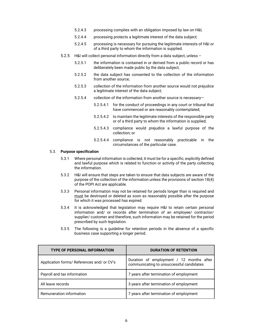- 5.2.4.3 processing complies with an obligation imposed by law on H&I;
- 5.2.4.4 processing protects a legitimate interest of the data subject;
- 5.2.4.5 processing is necessary for pursuing the legitimate interests of H&I or of a third party to whom the information is supplied.
- 5.2.5 H&I will collect personal information directly from a data subject, unless
	- 5.2.5.1 the information is contained in or derived from a public record or has deliberately been made public by the data subject;
	- 5.2.5.2 the data subject has consented to the collection of the information from another source;
	- 5.2.5.3 collection of the information from another source would not prejudice a legitimate interest of the data subject;
	- 5.2.5.4 collection of the information from another source is necessary—
		- 5.2.5.4.1 for the conduct of proceedings in any court or tribunal that have commenced or are reasonably contemplated;
		- 5.2.5.4.2 to maintain the legitimate interests of the responsible party or of a third party to whom the information is supplied;
		- 5.2.5.4.3 compliance would prejudice a lawful purpose of the collection; or
		- 5.2.5.4.4 compliance is not reasonably practicable in the circumstances of the particular case.

#### 5.3. **Purpose specification**

- 5.3.1 Where personal information is collected, it must be for a specific, explicitly defined and lawful purpose which is related to function or activity of the party collecting the information.
- 5.3.2 H&I will ensure that steps are taken to ensure that data subjects are aware of the purpose of the collection of the information unless the provisions of section 18(4) of the POPI Act are applicable.
- 5.3.3 Personal information may not be retained for periods longer than is required and must be destroyed or deleted as soon as reasonably possible after the purpose for which it was processed has expired.
- 5.3.4 It is acknowledged that legislation may require H&I to retain certain personal information and/ or records after termination of an employee/ contractor/ supplier/ customer and therefore, such information may be retained for the period prescribed by such legislation.
- 5.3.5 The following is a guideline for retention periods in the absence of a specific business case supporting a longer period.

| <b>TYPE OF PERSONAL INFORMATION</b>        | <b>DURATION OF RETENTION</b>                                                         |
|--------------------------------------------|--------------------------------------------------------------------------------------|
| Application forms/ References and/ or CV's | Duration of employment / 12 months after<br>communicating to unsuccessful candidates |
| Payroll and tax information                | 7 years after termination of employment                                              |
| All leave records                          | 3 years after termination of employment                                              |
| Remuneration information                   | 7 years after termination of employment                                              |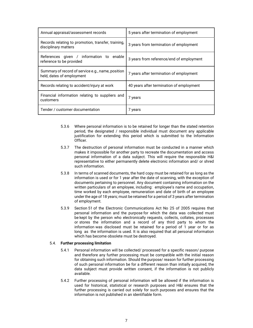| Annual appraisal/assessment records                                            | 5 years after termination of employment  |
|--------------------------------------------------------------------------------|------------------------------------------|
| Records relating to promotion, transfer, training,<br>disciplinary matters     | 3 years from termination of employment   |
| References given / information to enable<br>reference to be provided           | 3 years from reference/end of employment |
| Summary of record of service e.g., name, position<br>held, dates of employment | 7 years after termination of employment  |
| Records relating to accident/injury at work                                    | 40 years after termination of employment |
| Financial information relating to suppliers and<br>customers                   | / years                                  |
| Tender / customer documentation                                                | / years                                  |

- 5.3.6 Where personal information is to be retained for longer than the stated retention period, the designated / responsible individual must document any applicable justification for extending this period which is submitted to the Information Officer.
- 5.3.7 The destruction of personal information must be conducted in a manner which makes it impossible for another party to recreate the documentation and access personal information of a data subject. This will require the responsible H&I representative to either permanently delete electronic information and/ or shred such information.
- 5.3.8 In terms of scanned documents, the hard copy must be retained for as long as the information is used or for 1 year after the date of scanning, with the exception of documents pertaining to personnel. Any document containing information on the written particulars of an employee, including: employee's name and occupation, time worked by each employee, remuneration and date of birth of an employee under the age of 18 years; must be retained for a period of 3 years after termination of employment.
- 5.3.9 Section 51 of the Electronic Communications Act No 25 of 2005 requires that personal information and the purpose for which the data was collected must be kept by the person who electronically requests, collects, collates, processes or stores the information and a record of any third party to whom the information was disclosed must be retained for a period of 1 year or for as long as the information is used. It is also required that all personal information which has become obsolete must be destroyed.

### 5.4. **Further processing limitation**

- 5.4.1 Personal information will be collected/ processed for a specific reason/ purpose and therefore any further processing must be compatible with the initial reason for obtaining such information. Should the purpose/ reason for further processing of such personal information be for a different reason than initially acquired, the data subject must provide written consent, if the information is not publicly available.
- 5.4.2 Further processing of personal information will be allowed if the information is used for historical, statistical or research purposes and H&I ensures that the further processing is carried out solely for such purposes and ensures that the information is not published in an identifiable form.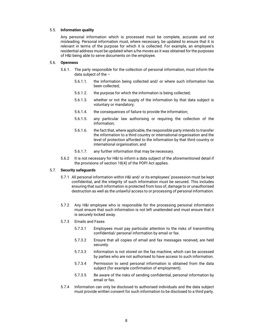#### 5.5. **Information quality**

Any personal information which is processed must be complete, accurate and not misleading. Personal information must, where necessary, be updated to ensure that it is relevant in terms of the purpose for which it is collected. For example, an employee's residential address must be updated when s/he moves as it was obtained for the purposes of H&I being able to serve documents on the employee.

#### 5.6. **Openness**

- 5.6.1. The party responsible for the collection of personal information, must inform the data subject of the –
	- 5.6.1.1. the information being collected and/ or where such information has been collected;
	- 5.6.1.2. the purpose for which the information is being collected;
	- 5.6.1.3. whether or not the supply of the information by that data subject is voluntary or mandatory;
	- 5.6.1.4. the consequences of failure to provide the information;
	- 5.6.1.5. any particular law authorising or requiring the collection of the information;
	- 5.6.1.6. the fact that, where applicable, the responsible party intends to transfer the information to a third country or international organisation and the level of protection afforded to the information by that third country or international organisation; and
	- 5.6.1.7. any further information that may be necessary.
- 5.6.2 It is not necessary for H&I to inform a data subject of the aforementioned detail if the provisions of section 18(4) of the POPI Act applies.

# 5.7. **Security safeguards**

- 5.7.1 All personal information within H&I and/ or its employees' possession must be kept confidential, and the integrity of such information must be secured. This includes ensuring that such information is protected from loss of, damage to or unauthorised destruction as well as the unlawful access to or processing of personal information.
- 5.7.2 Any H&I employee who is responsible for the processing personal information must ensure that such information is not left unattended and must ensure that it is securely locked away.

#### 5.7.3 Emails and Faxes

- 5.7.3.1 Employees must pay particular attention to the risks of transmitting confidential/ personal information by email or fax.
- 5.7.3.2 Ensure that all copies of email and fax messages received, are held securely.
- 5.7.3.3 Information is not stored on the fax machine, which can be accessed by parties who are not authorised to have access to such information.
- 5.7.3.4 Permission to send personal information is obtained from the data subject (for example confirmation of employment).
- 5.7.3.5 Be aware of the risks of sending confidential, personal information by email or fax.
- 5.7.4 Information can only be disclosed to authorised individuals and the data subject must provide written consent for such information to be disclosed to a third party.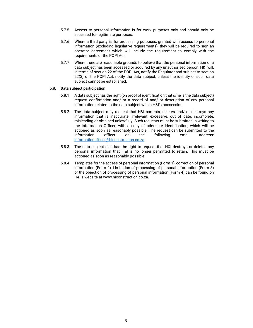- 5.7.5 Access to personal information is for work purposes only and should only be accessed for legitimate purposes.
- 5.7.6 Where a third party is, for processing purposes, granted with access to personal information (excluding legislative requirements), they will be required to sign an operator agreement which will include the requirement to comply with the requirements of the POPI Act.
- 5.7.7 Where there are reasonable grounds to believe that the personal information of a data subject has been accessed or acquired by any unauthorised person, H&I will, in terms of section 22 of the POPI Act, notify the Regulator and subject to section 22(3) of the POPI Act, notify the data subject, unless the identity of such data subject cannot be established.

### 5.8. **Data subject participation**

- 5.8.1 A data subject has the right (on proof of identification that s/he is the data subject) request confirmation and/ or a record of and/ or description of any personal information related to the data subject within H&I's possession.
- 5.8.2 The data subject may request that H&I corrects, deletes and/ or destroys any information that is inaccurate, irrelevant, excessive, out of date, incomplete, misleading or obtained unlawfully. Such requests must be submitted in writing to the Information Officer, with a copy of adequate identification, which will be actioned as soon as reasonably possible. The request can be submitted to the information officer on the following email address: informationofficer@hiconstruction.co.za
- 5.8.3 The data subject also has the right to request that H&I destroys or deletes any personal information that H&I is no longer permitted to retain. This must be actioned as soon as reasonably possible.
- 5.8.4 Templates for the access of personal information (Form 1), correction of personal information (Form 2), Limitation of processing of personal information (Form 3) or the objection of processing of personal information (Form 4) can be found on H&I's website at www.hiconstruction.co.za.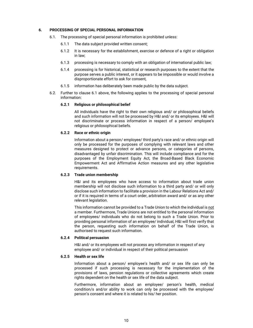#### **6. PROCESSING OF SPECIAL PERSONAL INFORMATION**

- 6.1. The processing of special personal information is prohibited unless:
	- 6.1.1 The data subject provided written consent;
	- 6.1.2 It is necessary for the establishment, exercise or defence of a right or obligation in law;
	- 6.1.3 processing is necessary to comply with an obligation of international public law;
	- 6.1.4 processing is for historical, statistical or research purposes to the extent that the purpose serves a public interest, or it appears to be impossible or would involve a disproportionate effort to ask for consent,
	- 6.1.5 information has deliberately been made public by the data subject.
- 6.2. Further to clause 6.1 above, the following applies to the processing of special personal information:

### **6.2.1 Religious or philosophical belief**

 All individuals have the right to their own religious and/ or philosophical beliefs and such information will not be processed by H&I and/ or its employees. H&I will not discriminate or process information in respect of a person/ employee's religious or philosophical beliefs.

### **6.2.2 Race or ethnic origin**

 Information about a person/ employee/ third party's race and/ or ethnic origin will only be processed for the purposes of complying with relevant laws and other measures designed to protect or advance persons, or categories of persons, disadvantaged by unfair discrimination. This will include compliance and for the purposes of the Employment Equity Act, the Broad-Based Black Economic Empowerment Act and Affirmative Action measures and any other legislative requirements.

#### **6.2.3 Trade union membership**

 H&I and its employees who have access to information about trade union membership will not disclose such information to a third party and/ or will only disclose such information to facilitate a provision in the Labour Relations Act and/ or if it is required in terms of a court order, arbitration award and/ or as any other relevant legislation.

This information cannot be provided to a Trade Union to which the individual is not a member. Furthermore, Trade Unions are not entitled to the personal information of employees/ individuals who do not belong to such a Trade Union. Prior to providing personal information of an employee/ individual, H&I will first verify that the person, requesting such information on behalf of the Trade Union, is authorised to request such information.

#### **6.2.4 Political persuasion**

H&I and/ or its employees will not process any information in respect of any employee and/ or individual in respect of their political persuasion

#### **6.2.5 Health or sex life**

 Information about a person/ employee's health and/ or sex life can only be processed if such processing is necessary for the implementation of the provisions of laws, pension regulations or collective agreements which create rights dependent on the health or sex life of the data subject.

 Furthermore, information about an employee/ person's health, medical condition/s and/or ability to work can only be processed with the employee/ person's consent and where it is related to his/ her position.